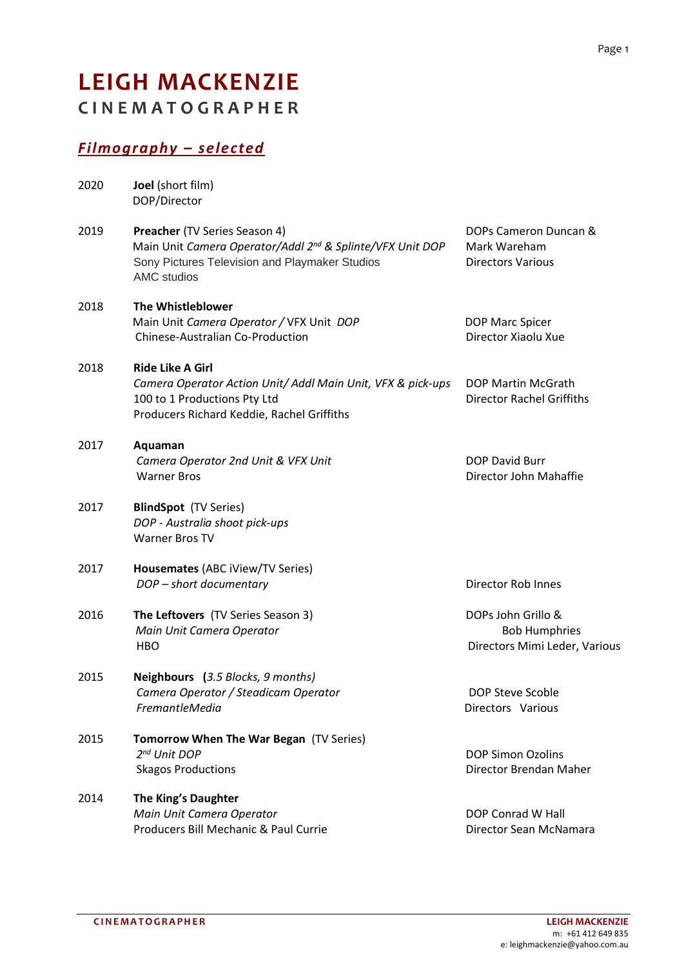## **LEIGH MACKENZIE C I N E M A T O G R A P H E R**

## *Filmography – selected*

| 2020 | Joel (short film)<br>DOP/Director                                                                                                                                              |                                                                             |
|------|--------------------------------------------------------------------------------------------------------------------------------------------------------------------------------|-----------------------------------------------------------------------------|
| 2019 | Preacher (TV Series Season 4)<br>Main Unit Camera Operator/Addl 2 <sup>nd</sup> & Splinte/VFX Unit DOP<br>Sony Pictures Television and Playmaker Studios<br><b>AMC</b> studios | DOPs Cameron Duncan &<br>Mark Wareham<br><b>Directors Various</b>           |
| 2018 | The Whistleblower<br>Main Unit Camera Operator / VFX Unit DOP<br><b>Chinese-Australian Co-Production</b>                                                                       | DOP Marc Spicer<br>Director Xiaolu Xue                                      |
| 2018 | <b>Ride Like A Girl</b><br>Camera Operator Action Unit/ Addl Main Unit, VFX & pick-ups<br>100 to 1 Productions Pty Ltd<br>Producers Richard Keddie, Rachel Griffiths           | DOP Martin McGrath<br><b>Director Rachel Griffiths</b>                      |
| 2017 | Aquaman<br>Camera Operator 2nd Unit & VFX Unit<br><b>Warner Bros</b>                                                                                                           | <b>DOP David Burr</b><br>Director John Mahaffie                             |
| 2017 | <b>BlindSpot</b> (TV Series)<br>DOP - Australia shoot pick-ups<br>Warner Bros TV                                                                                               |                                                                             |
| 2017 | Housemates (ABC iView/TV Series)<br>DOP - short documentary                                                                                                                    | Director Rob Innes                                                          |
| 2016 | The Leftovers (TV Series Season 3)<br>Main Unit Camera Operator<br><b>HBO</b>                                                                                                  | DOPs John Grillo &<br><b>Bob Humphries</b><br>Directors Mimi Leder, Various |
| 2015 | Neighbours (3.5 Blocks, 9 months)<br>Camera Operator / Steadicam Operator<br>FremantleMedia                                                                                    | <b>DOP Steve Scoble</b><br>Directors Various                                |
| 2015 | Tomorrow When The War Began (TV Series)<br>2 <sup>nd</sup> Unit DOP<br><b>Skagos Productions</b>                                                                               | <b>DOP Simon Ozolins</b><br>Director Brendan Maher                          |
| 2014 | The King's Daughter<br>Main Unit Camera Operator<br>Producers Bill Mechanic & Paul Currie                                                                                      | DOP Conrad W Hall<br>Director Sean McNamara                                 |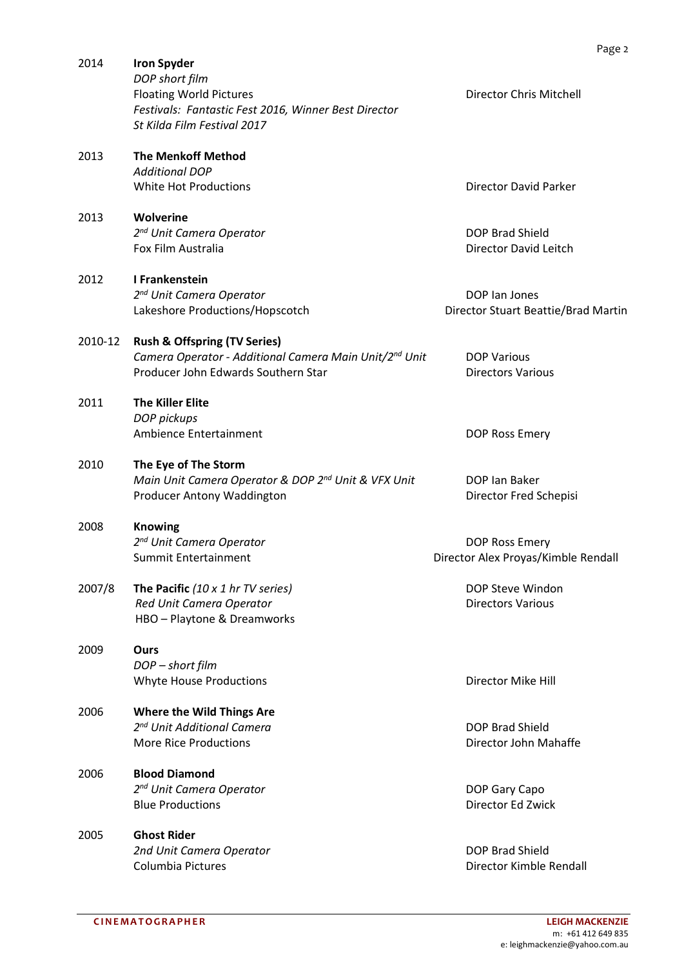| 2014    | <b>Iron Spyder</b><br>DOP short film<br><b>Floating World Pictures</b><br>Festivals: Fantastic Fest 2016, Winner Best Director<br>St Kilda Film Festival 2017 | <b>Director Chris Mitchell</b>                        |
|---------|---------------------------------------------------------------------------------------------------------------------------------------------------------------|-------------------------------------------------------|
| 2013    | <b>The Menkoff Method</b><br><b>Additional DOP</b><br>White Hot Productions                                                                                   | <b>Director David Parker</b>                          |
| 2013    | <b>Wolverine</b><br>2 <sup>nd</sup> Unit Camera Operator<br>Fox Film Australia                                                                                | DOP Brad Shield<br><b>Director David Leitch</b>       |
| 2012    | I Frankenstein<br>2 <sup>nd</sup> Unit Camera Operator<br>Lakeshore Productions/Hopscotch                                                                     | DOP Ian Jones<br>Director Stuart Beattie/Brad Martin  |
| 2010-12 | <b>Rush &amp; Offspring (TV Series)</b><br>Camera Operator - Additional Camera Main Unit/2nd Unit<br>Producer John Edwards Southern Star                      | <b>DOP Various</b><br><b>Directors Various</b>        |
| 2011    | <b>The Killer Elite</b><br>DOP pickups<br>Ambience Entertainment                                                                                              | DOP Ross Emery                                        |
| 2010    | The Eye of The Storm<br>Main Unit Camera Operator & DOP 2nd Unit & VFX Unit<br>Producer Antony Waddington                                                     | DOP Ian Baker<br>Director Fred Schepisi               |
| 2008    | <b>Knowing</b><br>2 <sup>nd</sup> Unit Camera Operator<br><b>Summit Entertainment</b>                                                                         | DOP Ross Emery<br>Director Alex Proyas/Kimble Rendall |
| 2007/8  | <b>The Pacific</b> (10 $\times$ 1 hr TV series)<br>Red Unit Camera Operator<br>HBO - Playtone & Dreamworks                                                    | DOP Steve Windon<br><b>Directors Various</b>          |
| 2009    | Ours<br>DOP - short film<br><b>Whyte House Productions</b>                                                                                                    | Director Mike Hill                                    |
| 2006    | <b>Where the Wild Things Are</b><br>2 <sup>nd</sup> Unit Additional Camera<br><b>More Rice Productions</b>                                                    | DOP Brad Shield<br>Director John Mahaffe              |
| 2006    | <b>Blood Diamond</b><br>2 <sup>nd</sup> Unit Camera Operator<br><b>Blue Productions</b>                                                                       | DOP Gary Capo<br>Director Ed Zwick                    |
| 2005    | <b>Ghost Rider</b><br>2nd Unit Camera Operator<br>Columbia Pictures                                                                                           | DOP Brad Shield<br>Director Kimble Rendall            |

Page 2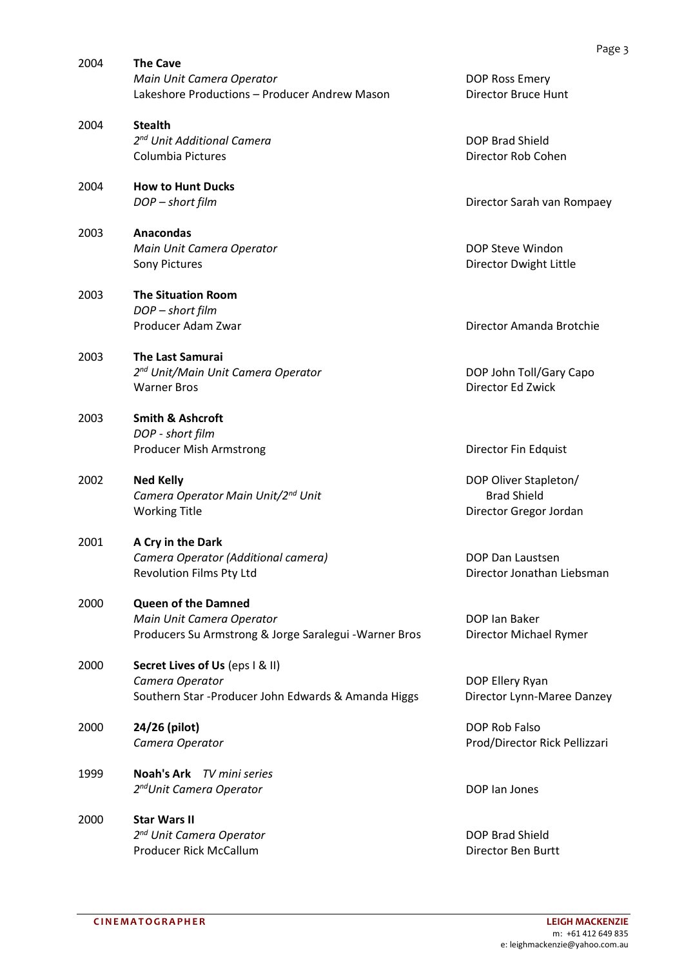| 2004 | <b>The Cave</b><br>Main Unit Camera Operator<br>Lakeshore Productions - Producer Andrew Mason                     | <b>DOP Ross Emer</b><br><b>Director Bruce</b>          |
|------|-------------------------------------------------------------------------------------------------------------------|--------------------------------------------------------|
| 2004 | <b>Stealth</b><br>2 <sup>nd</sup> Unit Additional Camera<br>Columbia Pictures                                     | <b>DOP Brad Shiel</b><br>Director Rob C                |
| 2004 | <b>How to Hunt Ducks</b><br>DOP - short film                                                                      | Director Sarah                                         |
| 2003 | Anacondas<br>Main Unit Camera Operator<br>Sony Pictures                                                           | DOP Steve Wir<br>Director Dwigh                        |
| 2003 | <b>The Situation Room</b><br>DOP - short film<br>Producer Adam Zwar                                               | Director Aman                                          |
| 2003 | <b>The Last Samurai</b><br>2 <sup>nd</sup> Unit/Main Unit Camera Operator<br><b>Warner Bros</b>                   | DOP John Toll/<br>Director Ed Zw                       |
| 2003 | <b>Smith &amp; Ashcroft</b><br>DOP - short film<br>Producer Mish Armstrong                                        | Director Fin Ed                                        |
| 2002 | <b>Ned Kelly</b><br>Camera Operator Main Unit/2 <sup>nd</sup> Unit<br><b>Working Title</b>                        | DOP Oliver Sta<br><b>Brad Shield</b><br>Director Grego |
| 2001 | A Cry in the Dark<br>Camera Operator (Additional camera)<br>Revolution Films Pty Ltd                              | DOP Dan Laust<br>Director Jonath                       |
| 2000 | <b>Queen of the Damned</b><br>Main Unit Camera Operator<br>Producers Su Armstrong & Jorge Saralegui - Warner Bros | DOP Ian Baker<br>Director Micha                        |
| 2000 | Secret Lives of Us (eps I & II)<br>Camera Operator<br>Southern Star - Producer John Edwards & Amanda Higgs        | DOP Ellery Rya<br>Director Lynn-M                      |
| 2000 | 24/26 (pilot)<br>Camera Operator                                                                                  | DOP Rob Falso<br>Prod/Director I                       |
| 1999 | <b>Noah's Ark</b><br>TV mini series<br>2 <sup>nd</sup> Unit Camera Operator                                       | DOP Ian Jones                                          |
| 2000 | <b>Star Wars II</b><br>2 <sup>nd</sup> Unit Camera Operator<br><b>Producer Rick McCallum</b>                      | DOP Brad Shiel<br>Director Ben B                       |
|      |                                                                                                                   |                                                        |

**Ross Emery** tor Bruce Hunt

**Brad Shield** tor Rob Cohen

*<u>tor</u> Sarah van Rompaey* 

**Steve Windon** tor Dwight Little

tor Amanda Brotchie

**John Toll/Gary Capo** tor Ed Zwick

tor Fin Edquist

Dliver Stapleton/ *Camera Operator Main Unit/2nd Unit* Brad Shield tor Gregor Jordan

**Dan Laustsen** tor Jonathan Liebsman

tor Michael Rymer

**Ellery Ryan** tor Lynn-Maree Danzey

*Camera Operator* Prod/Director Rick Pellizzari

**Brad Shield** tor Ben Burtt